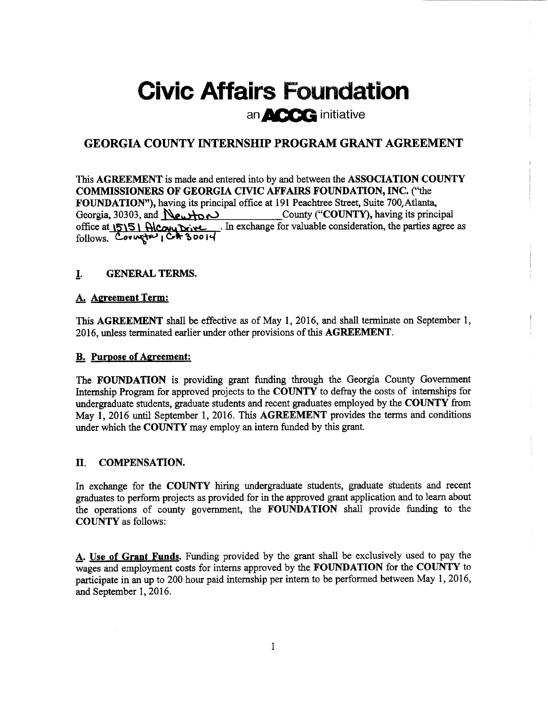# Civic Affairs Foundation an  $\triangle$   $\triangle$   $\triangle$  initiative

## GEORGIA COUNTY INTERNSHIP PROGRAM GRANT AGREEMENT

This AGREEMENT is made and entered into by and between the ASSOCIATION COUNTY COMMISSIONERS OF GEORGIA CIVIC AFFAIRS FOUNDATION, INC. ("the FOUNDATION"), having its principal office at 191 Peachtree Street, Suite 700, Atlanta,<br>County ("COUNTY), having its princ County ("COUNTY), having its principal office at  $\sqrt{515}$  Alcauu Drive ... In exchange for valuable consideration, the parties agree as  $follows.$  Covington  $1$  C+ 30014

## I. GENERAL TERMS.

## A. Agreement Term:

This AGREEMENT shall be effective as of May 1, 2016, and shall terminate on September 1, 2016, unless terminated earlier under other provisions of this AGREEMENT.

## **B.** Purpose of Agreement:

The FOUNDATION is providing grant funding through the Georgia County Government Internship Program for approved projects to the COUNTY to defray the costs of internships for undergraduate students, graduate students and recent graduates employed by the COUNTY from May 1, 2016 until September 1, 2016. This AGREEMENT provides the terms and conditions under which the COUNTY may employ an intern funded by this grant.

## II. COMPENSATION.

In exchange for the COUNTY hiring undergraduate students, graduate students and recent graduates to perform projects as provided for in the approved grant application and to learn about the operations of county government, the FOUNDATION shall provide funding to the COUNTY as follows:

A. Use of Grant Funds. Funding provided by the grant shall be exclusively used to pay the wages and employment costs for interns approved by the FOUNDATION for the COUNTY to participate in an up to 200 hour paid internship per intern to be performed between May 1, 2016, and September 1, 2016.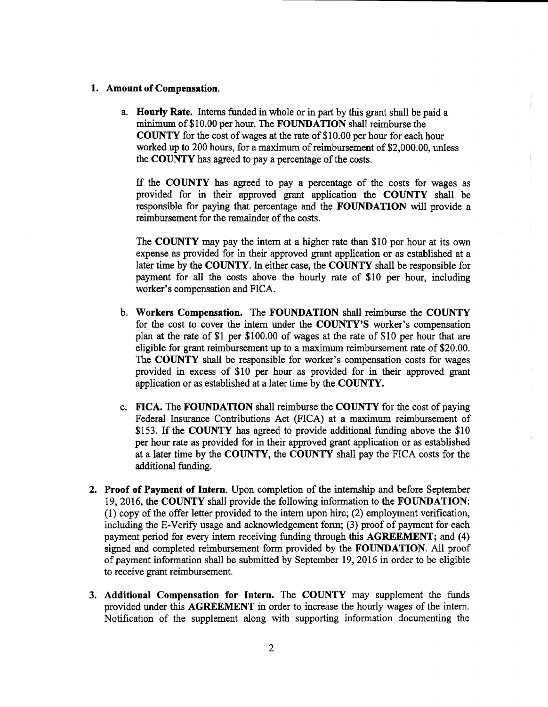#### 1. Amount of Compensation.

a. Hourly Rate. Interns funded in whole or in part by this grant shall be paid a minimum of \$10.00 per hour. The **FOUNDATION** shall reimburse the COUNTY for the cost of wages at the rate of\$10.00 per hour for each hour worked up to 200 hours, for a maximum of reimbursement of \$2,000.00, unless the COUNTY has agreed to pay a percentage of the costs.

If the COUNTY has agreed to pay <sup>a</sup> percentage of the costs for wages as provided for in their approved grant application the COUNTY shall be responsible for paying that percentage and the FOUNDATION will provide a reimbursement for the remainder of the costs.

The COUNTY may pay the intern at a higher rate than \$10 per hour at its own expense as provided for in their approved grant application or as established at a later time by the COUNTY. In either case, the COUNTY shall be responsible for payment for all the costs above the hourly rate of \$10 per hour, including worker's compensation and FICA.

- b. Workers Compensation. The FOUNDATION shall reimburse the COUNTY for the cost to cover the intern under the COUNTY'S worker's compensation plan at the rate of \$1 per \$100.00 of wages at the rate of \$10 per hour that are eligible for grant reimbursement up to a maximum reimbursement rate of \$20.00. The COUNTY shall be responsible for worker's compensation costs for wages provided in excess of \$<sup>10</sup> per hour as provided for in their approved grant application or as established at a later time by the COUNTY.
- c. FICA. The FOUNDATION shall reimburse the COUNTY for the cost of paying Federal Insurance Contributions Act ( FICA) at a maximum reimbursement of \$153. If the COUNTY has agreed to provide additional funding above the \$10 per hour rate as provided for in their approved grant application or as established at a later time by the COUNTY, the COUNTY shall pay the FICA costs for the additional funding.
- 2. Proof of Payment of Intern. Upon completion of the internship and before September 19, 2016, the COUNTY shall provide the following information to the FOUNDATION: 1) copy of the offer letter provided to the intern upon hire; (2) employment verification, including the E-Verify usage and acknowledgement form; (3) proof of payment for each payment period for every intern receiving funding through this AGREEMENT; and (4) signed and completed reimbursement form provided by the FOUNDATION. All proof of payment information shall be submitted by September 19, 2016 in order to be eligible to receive grant reimbursement.
- 3. Additional Compensation for Intern. The COUNTY may supplement the funds provided under this AGREEMENT in order to increase the hourly wages of the intern. Notification of the supplement along with supporting information documenting the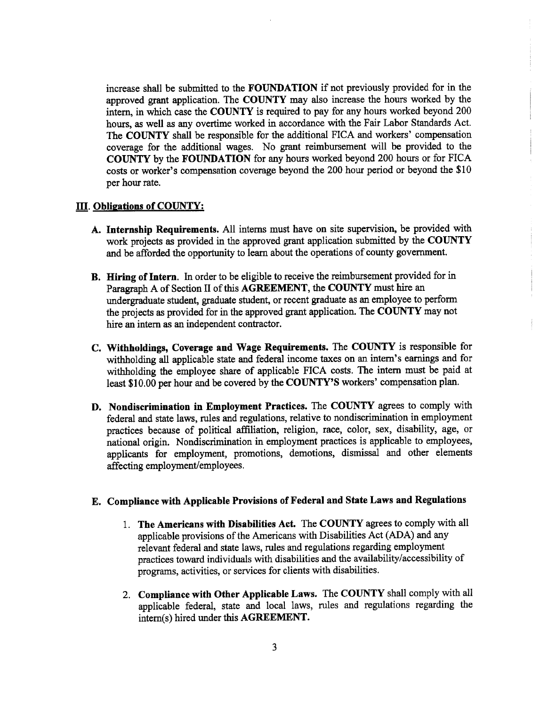increase shall be submitted to the FOUNDATION if not previously provided for in the approved grant application. The COUNTY may also increase the hours worked by the intern, in which case the COUNTY is required to pay for any hours worked beyond 200 hours, as well as any overtime worked in accordance with the Fair Labor Standards Act. The COUNTY shall be responsible for the additional FICA and workers' compensation coverage for the additional wages. No grant reimbursement will be provided to the COUNTY by the FOUNDATION for any hours worked beyond 200 hours or for FICA costs or worker's compensation coverage beyond the 200 hour period or beyond the \$10 per hour rate.

### III. Obligations of COUNTY:

- A. Internship Requirements. All interns must have on site supervision, be provided with work projects as provided in the approved grant application submitted by the COUNTY and be afforded the opportunity to learn about the operations of county government.
- B. Hiring of Intern. In order to be eligible to receive the reimbursement provided for in Paragraph A of Section H of this AGREEMENT, the COUNTY must hire an undergraduate student, graduate student, or recent graduate as an employee to perform the projects as provided for in the approved grant application. The COUNTY may not hire an intern as an independent contractor.
- C. Withholdings, Coverage and Wage Requirements. The COUNTY is responsible for withholding all applicable state and federal income taxes on an intern's earnings and for withholding the employee share of applicable FICA costs. The intern must be paid at least \$10.00 per hour and be covered by the COUNTY'S workers' compensation plan.
- D. Nondiscrimination in Employment Practices. The COUNTY agrees to comply with federal and state laws, rules and regulations, relative to nondiscrimination in employment practices because of political affiliation, religion, race, color, sex, disability, age, or national origin. Nondiscrimination in employment practices is applicable to employees, applicants for employment, promotions, demotions, dismissal and other elements affecting employment/employees.

## E. Compliance with Applicable Provisions of Federal and State Laws and Regulations

- 1. The Americans with Disabilities Act. The COUNTY agrees to comply with all applicable provisions of the Americans with Disabilities Act( ADA) and any relevant federal and state laws, rules and regulations regarding employment practices toward individuals with disabilities and the availability/accessibility of programs, activities, or services for clients with disabilities.
- 2. Compliance with Other Applicable Laws. The COUNTY shall comply with all applicable federal, state and local laws, rules and regulations regarding the intern(s) hired under this AGREEMENT.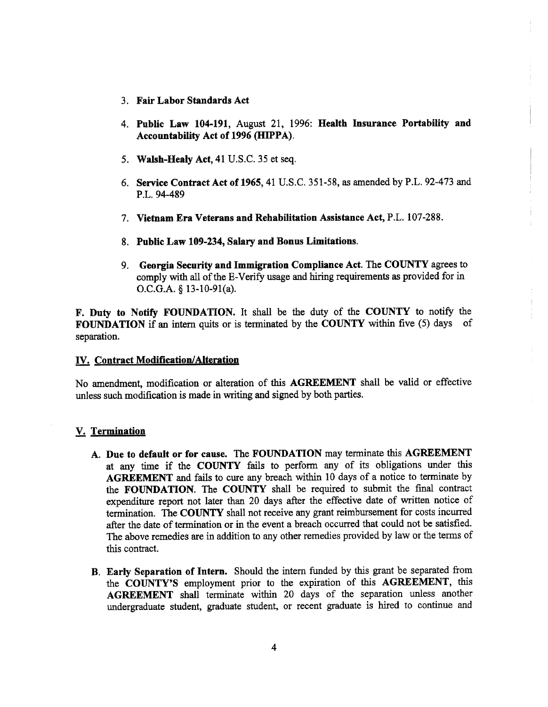- 3. Fair Labor Standards Act
- 4. Public Law 104-191, August 21, 1996: Health Insurance Portability and Accountability Act of 1996 (HIPPA).
- 5. Walsh-Healy Act, 41 U.S.C. 35 et seq.
- 6. Service Contract Act of 1965, 41 U.S.C. 351-58, as amended by P.L. 92-473 and P.L. 94-489
- 7. Vietnam Era Veterans and Rehabilitation Assistance Act, P.L. 107-288.
- 8. Public Law 109-234, Salary and Bonus Limitations.
- 9. Georgia Security and Immigration Compliance Act. The COUNTY agrees to comply with all of the E-Verify usage and hiring requirements as provided for in O.C.G.A.  $§$  13-10-91(a).

F. Duty to Notify FOUNDATION. It shall be the duty of the COUNTY to notify the FOUNDATION if an intern quits or is terminated by the COUNTY within five (5) days of separation.

#### IV. Contract Modification/Alteration

No amendment, modification or alteration of this AGREEMENT shall be valid or effective unless such modification is made in writing and signed by both parties.

#### V. Termination

- A. Due to default or for cause. The FOUNDATION may terminate this AGREEMENT at any time if the COUNTY fails to perform any of its obligations under this AGREEMENT and fails to cure any breach within <sup>10</sup> days of a notice to terminate by the FOUNDATION. The COUNTY shall be required to submit the final contract expenditure report not later than 20 days after the effective date of written notice of termination. The COUNTY shall not receive any grant reimbursement for costs incurred after the date of termination or in the event a breach occurred that could not be satisfied. The above remedies are in addition to any other remedies provided by law or the terms of this contract.
- B. Early Separation of Intern. Should the intern funded by this grant be separated from the COUNTY'S employment prior to the expiration of this AGREEMENT, this AGREEMENT shall terminate within 20 days of the separation unless another undergraduate student, graduate student, or recent graduate is hired to continue and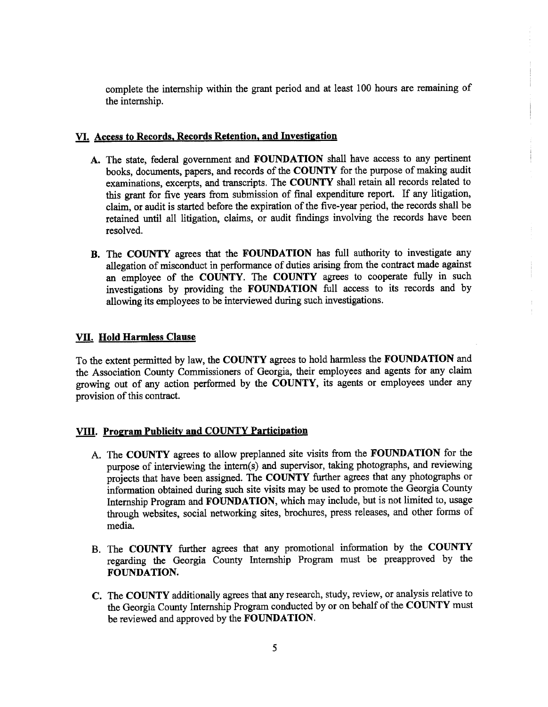complete the internship within the grant period and at least 100 hours are remaining of the internship.

## VI. Access to Records, Records Retention, and Investigation

- A. The state, federal government and FOUNDATION shall have access to any pertinent books, documents, papers, and records of the COUNTY for the purpose of making audit examinations, excerpts, and transcripts. The COUNTY shall retain all records related to this grant for five years from submission of final expenditure report. If any litigation, claim, or audit is started before the expiration of the five-year period, the records shall be retained until all litigation, claims, or audit findings involving the records have been resolved.
- B. The COUNTY agrees that the FOUNDATION has full authority to investigate any allegation of misconduct in performance of duties arising from the contract made against an employee of the COUNTY. The COUNTY agrees to cooperate fully in such investigations by providing the FOUNDATION full access to its records and by allowing its employees to be interviewed during such investigations.

## VII. Hold Harmless Clause

To the extent permitted by law, the COUNTY agrees to hold harmless the FOUNDATION and the Association County Commissioners of Georgia, their employees and agents for any claim growing out of any action performed by the COUNTY, its agents or employees under any provision of this contract.

## VIII. Program Publicity and COUNTY Participation

- A. The COUNTY agrees to allow preplanned site visits from the FOUNDATION for the purpose of interviewing the intern(s) and supervisor, taking photographs, and reviewing projects that have been assigned. The COUNTY further agrees that any photographs or information obtained during such site visits may be used to promote the Georgia County Internship Program and FOUNDATION, which may include, but is not limited to, usage through websites, social networking sites, brochures, press releases, and other forms of media.
- B. The COUNTY further agrees that any promotional information by the COUNTY regarding the Georgia County Internship Program must be preapproved by the FOUNDATION.
- C. The COUNTY additionally agrees that any research, study, review, or analysis relative to the Georgia County Internship Program conducted by or on behalf of the COUNTY must be reviewed and approved by the FOUNDATION.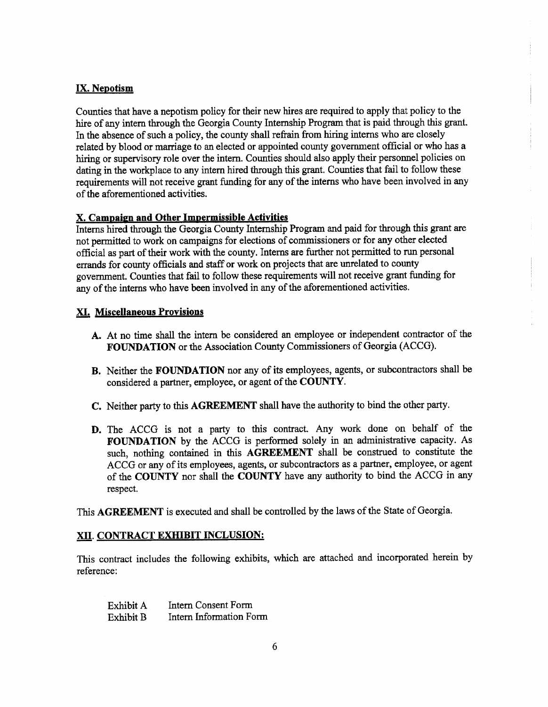## IX. Nepotism

Counties that have a nepotism policy for their new hires are required to apply that policy to the hire of any intern through the Georgia County Internship Program that is paid through this grant. In the absence of such a policy, the county shall refrain from hiring interns who are closely related by blood or marriage to an elected or appointed county government official or who has a hiring or supervisory role over the intern. Counties should also apply their personnel policies on dating in the workplace to any intern hired through this grant. Counties that fail to follow these requirements will not receive grant funding for any of the interns who have been involved in any of the aforementioned activities.

## X. Campaizn and Other Impermissible Activities

Interns hired through the Georgia County Internship Program and paid for through this grant are not permitted to work on campaigns for elections of commissioners or for any other elected official as part of their work with the county. Interns are further not permitted to run personal errands for county officials and staff or work on projects that are unrelated to county government. Counties that fail to follow these requirements will not receive grant funding for any of the interns who have been involved in any of the aforementioned activities.

## XI. Miscellaneous Provisions

- A. At no time shall the intern be considered an employee or independent contractor of the FOUNDATION or the Association County Commissioners of Georgia( ACCG).
- B. Neither the FOUNDATION nor any of its employees, agents, or subcontractors shall be considered a partner, employee, or agent of the COUNTY.
- C. Neither party to this AGREEMENT shall have the authority to bind the other party.
- D. The ACCG is not <sup>a</sup> party to this contract. Any work done on behalf of the FOUNDATION by the ACCG is performed solely in an administrative capacity. As such, nothing contained in this AGREEMENT shall be construed to constitute the ACCG or any of its employees, agents, or subcontractors as a partner, employee, or agent of the COUNTY nor shall the COUNTY have any authority to bind the ACCG in any respect.

This AGREEMENT is executed and shall be controlled by the laws of the State of Georgia.

## XII. CONTRACT EXHIBIT INCLUSION:

This contract includes the following exhibits, which are attached and incorporated herein by reference:

Exhibit A Intern Consent Form Exhibit B Intern Information Form